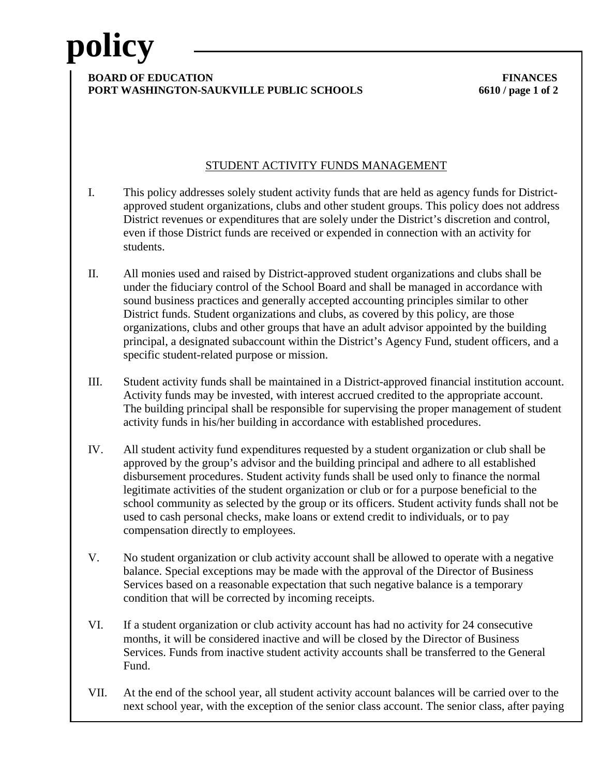# **policy**

#### **BOARD OF EDUCATION FINANCES PORT WASHINGTON-SAUKVILLE PUBLIC SCHOOLS 6610 / page 1 of 2**

## STUDENT ACTIVITY FUNDS MANAGEMENT

- I. This policy addresses solely student activity funds that are held as agency funds for Districtapproved student organizations, clubs and other student groups. This policy does not address District revenues or expenditures that are solely under the District's discretion and control, even if those District funds are received or expended in connection with an activity for students.
- II. All monies used and raised by District-approved student organizations and clubs shall be under the fiduciary control of the School Board and shall be managed in accordance with sound business practices and generally accepted accounting principles similar to other District funds. Student organizations and clubs, as covered by this policy, are those organizations, clubs and other groups that have an adult advisor appointed by the building principal, a designated subaccount within the District's Agency Fund, student officers, and a specific student-related purpose or mission.
- III. Student activity funds shall be maintained in a District-approved financial institution account. Activity funds may be invested, with interest accrued credited to the appropriate account. The building principal shall be responsible for supervising the proper management of student activity funds in his/her building in accordance with established procedures.
- IV. All student activity fund expenditures requested by a student organization or club shall be approved by the group's advisor and the building principal and adhere to all established disbursement procedures. Student activity funds shall be used only to finance the normal legitimate activities of the student organization or club or for a purpose beneficial to the school community as selected by the group or its officers. Student activity funds shall not be used to cash personal checks, make loans or extend credit to individuals, or to pay compensation directly to employees.
- V. No student organization or club activity account shall be allowed to operate with a negative balance. Special exceptions may be made with the approval of the Director of Business Services based on a reasonable expectation that such negative balance is a temporary condition that will be corrected by incoming receipts.
- VI. If a student organization or club activity account has had no activity for 24 consecutive months, it will be considered inactive and will be closed by the Director of Business Services. Funds from inactive student activity accounts shall be transferred to the General Fund.
- VII. At the end of the school year, all student activity account balances will be carried over to the next school year, with the exception of the senior class account. The senior class, after paying